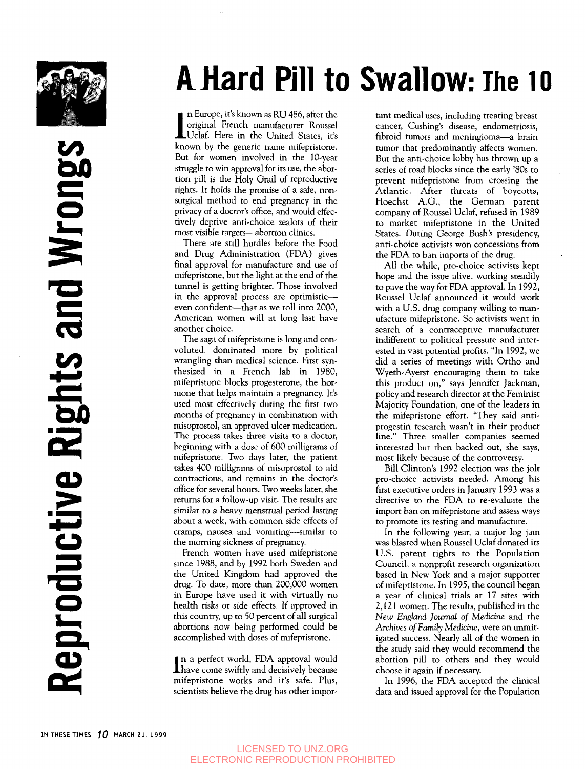

**Leproductive Rights and Wrongs** 

# A Hard Pill to Swallow: The 10

• n Europe, it's known as RU 486, after the original French manufacturer Roussel JLUclaf. Here in the United States, it's known by the generic name mifepristone. But for women involved in the 10-year struggle to win approval for its use, the abortion pill is the Holy Grail of reproductive rights. It holds the promise of a safe, nonsurgical method to end pregnancy in the privacy of a doctor's office, and would effectively deprive anti-choice zealots of their most visible targets—abortion clinics.

There are still hurdles before the Food and Drug Administration (PDA) gives final approval for manufacture and use of mifepristone, but the light at the end of the tunnel is getting brighter. Those involved in the approval process are optimistic even confident—that as we roll into 2000, American women will at long last have another choice.

The saga of mifepristone is long and convoluted, dominated more by political wrangling than medical science. First synthesized in a French lab in 1980, mifepristone blocks progesterone, the hormone that helps maintain a pregnancy. It's used most effectively during the first two months of pregnancy in combination with misoprostol, an approved ulcer medication. The process takes three visits to a doctor, beginning with a dose of 600 milligrams of mifepristone. Two days later, the patient takes 400 milligrams of misoprostol to aid contractions, and remains in the doctor's office for several hours. Two weeks later, she returns for a follow-up visit. The results are similar to a heavy menstrual period lasting about a week, with common side effects of cramps, nausea and vomiting—similar to the morning sickness of pregnancy.

French women have used mifepristone since 1988, and by 1992 both Sweden and the United Kingdom had approved the drug. To date, more than 200,000 women in Europe have used it with virtually no health risks or side effects. If approved in this country, up to 50 percent of all surgical abortions now being performed could be accomplished with doses of mifepristone.

In a perfect world, FDA approval would<br>have come swiftly and decisively because n a perfect world, FDA approval would mifepristone works and it's safe. Plus, scientists believe the drug has other important medical uses, including treating breast cancer, Cushing's disease, endometriosis, fibroid tumors and meningioma—a brain tumor that predominantly affects women. But the anti-choice lobby has thrown up a series of road blocks since the early '80s to prevent mifepristone from crossing the Atlantic. After threats of boycotts, Hoechst A.G., the German parent company of Roussel Uclaf, refused in 1989 to market mifepristone in the United States. During George Bush's presidency, anti-choice activists won concessions from the FDA to ban imports of the drug.

All the while, pro-choice activists kept hope and the issue alive, working steadily to pave the way for FDA approval. In 1992, Roussel Uclaf announced it would work with a U.S. drug company willing to manufacture mifepristone. So activists went in search of a contraceptive manufacturer indifferent to political pressure and interested in vast potential profits. "In 1992, we did a series of meetings with Ortho and Wyeth-Ayerst encouraging them to take this product on," says Jennifer Jackman, policy and research director at the Feminist Majority Foundation, one of the leaders in the mifepristone effort. "They said antiprogestin research wasn't in their product line." Three smaller companies seemed interested but then backed out, she says, most likely because of the controversy.

Bill Clinton's 1992 election was the jolt pro-choice activists needed. Among his first executive orders in January 1993 was a directive to the FDA to re-evaluate the import ban on mifepristone and assess ways to promote its testing and manufacture.

In the following year, a major log jam was blasted when Roussel Uclaf donated its U.S. patent rights to the Population Council, a nonprofit research organization based in New York and a major supporter of mifepristone. In 1995, the council began a year of clinical trials at 17 sites with 2,121 women. The results, published in the *New England Journal of Medicine* and the *Archives of Family* Medicine, were an unmitigated success. Nearly all of the women in the study said they would recommend the abortion pill to others and they would choose it again if necessary.

In 1996, the FDA accepted the clinical data and issued approval for the Population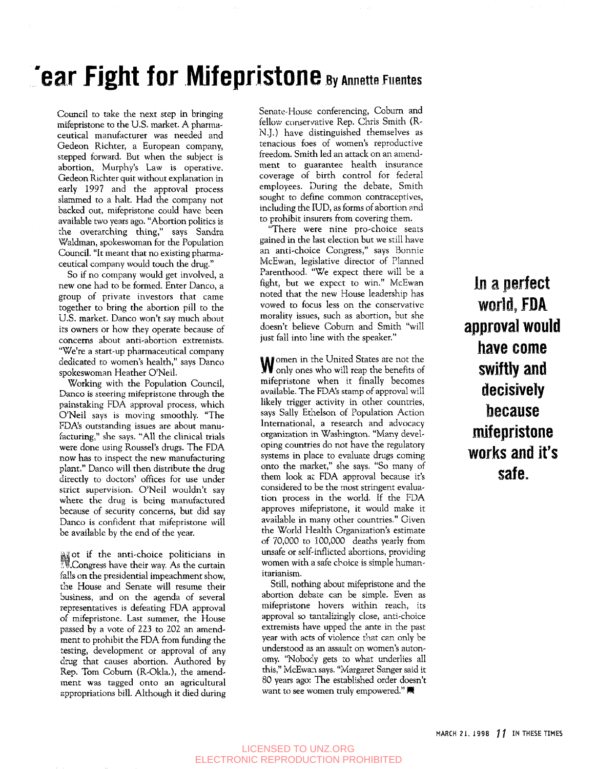## $\Gamma$ ear Fight for Mifepristone By Annette Fuentes

Council to take the next step in bringing mifepristone to the U.S. market. A pharmaceutical manufacturer was needed and Gedeon Richter, a European company, stepped forward. But when the subject is abortion, Murphy's Law is operative. Gedeon Richter quit without explanation in early 1997 and the approval process slammed to a halt. Had the company not backed out, mifepristone could have been available two years ago. "Abortion politics is the overarching thing," says Sandra Waldman, spokeswoman for the Population Council. "It meant that no existing pharmaceutical company would touch the drug."

So if no company would get involved, a new one had to be formed. Enter Danco, a group of private investors that came together to bring the abortion pill to the U.S. market. Danco won't say much about its owners or how they operate because of concerns about anti-abortion extremists. "We're a start-up pharmaceutical company dedicated to women's health," says Danco spokeswoman Heather O'Neil.

Working with the Population Council, Danco is steering mifepristone through the painstaking PDA approval process, which O'Neil says is moving smoothly. "The PDA's outstanding issues are about manufacturing," she says. "All the clinical trials were done using Roussel's drugs. The PDA now has to inspect the new manufacturing plant." Danco will then distribute the drug directly to doctors' offices for use under strict supervision. O'Neil wouldn't say where the drug is being manufactured because of security concerns, but did say Danco is confident that mifepristone will be available by the end of the year.

Mot if the anti-choice politicians in Congress have their way. As the curtain falls on the presidential impeachment show, the House and Senate will resume their business, and on the agenda of several representatives is defeating PDA approval of mifepristone. Last summer, the House passed by a vote of 223 to 202 an amendment to prohibit the PDA from funding the testing, development or approval of any drug that causes abortion. Authored by Rep. Tom Coburn (R-Okla.), the amendment was tagged onto an agricultural appropriations bill. Although it died during Senate-House conferencing, Coburn and fellow conservative Rep. Chris Smith (R-N.J.) have distinguished themselves as tenacious foes of women's reproductive freedom. Smith led an attack on an amendment to guarantee health insurance coverage of birth control for federal employees. During the debate, Smith sought to define common contraceptives, including the IUD, as forms of abortion and to prohibit insurers from covering them.

"There were nine pro-choice seats gained in the last election but we still have an anti-choice Congress," says Bonnie McEwan, legislative director of Planned Parenthood. "We expect there will be a fight, but we expect to win." McEwan noted that the new House leadership has vowed to focus less on the conservative morality issues, such as abortion, but she doesn't believe Cobum and Smith "will just fall into line with the speaker."

omen in the United States are not the only ones who will reap the benefits of mifepristone when it finally becomes available. The PDA's stamp of approval will likely trigger activity in other countries, says Sally Ethelson of Population Action International, a research and advocacy organization in Washington. "Many developing countries do not have the regulatory systems in place to evaluate drugs coming onto the market," she says. "So many of them look at PDA approval because it's considered to be the most stringent evaluation process in the world. If the PDA approves mifepristone, it would make it available in many other countries." Given the World Health Organization's estimate of 70,000 to 100,000 deaths yearly from unsafe or self-inflicted abortions, providing women with a safe choice is simple humanitarianism.

Still, nothing about mifepristone and the abortion debate can be simple. Even as mifepristone hovers within reach, its approval so tantalizingly close, anti-choice extremists have upped the ante in the past year with acts of violence that can only be understood as an assault on women's autonomy. "Nobody gets to what underlies all this," McEwan says. "Margaret Sanger said it 80 years ago: The established order doesn't<br>want to see women truly empowered."

In a perfect world, FDA approval would have come swiftly and decisively because mifepristone works and it's safe.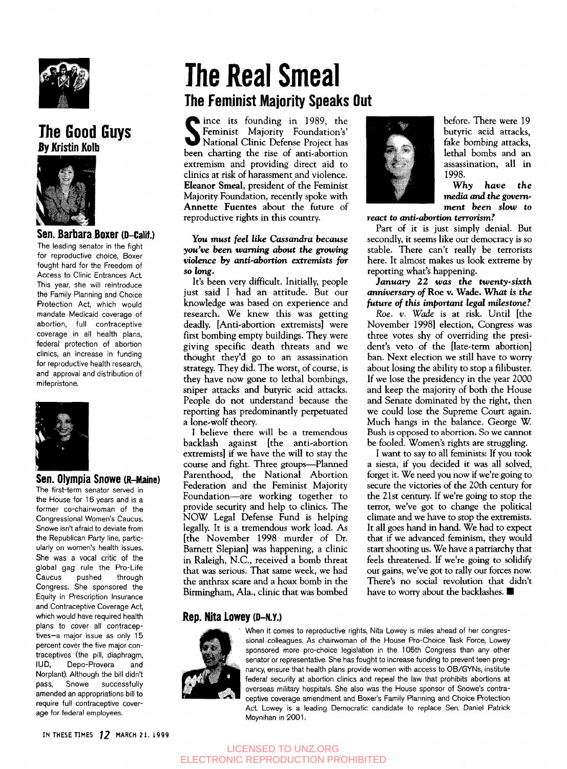

## The Good Guys **By Kristin Kolb**



### Sen. Barbara Boxer (D-Caiif.)

The leading senator in the fight for reproductive choice, Boxer fought hard for the Freedom of Access to Clinic Entrances Act. This year, she will reintroduce the Family Planning and Choice Protection Act, which would mandate Medicaid coverage of abortion, full contraceptive coverage in all health plans, federal protection of abortion clinics, an increase in funding for reproductive health research, and approval and distribution of mifepristone.



#### Sen. Olympia Snowe (R-Maine)

The first-term senator served in the House for 16 years and is a former co-chairwoman of the Congressional Women's Caucus. Snowe isn't afraid to deviate from the Republican Party line, particularly on women's health issues. She was a vocal critic of the global gag rule the Pro-Life Caucus pushed through Congress. She sponsored the Equity in Prescription Insurance and Contraceptive Coverage Act, which would have required health plans to cover all contraceptives—a major issue as only 15 percent cover the five major contraceptives (the pill, diaphragm, IUD, Depo-Provera and Norplant). Although the bill didn't pass, Snowe successfully amended an appropriations bill to require full contraceptive coverage for federal employees.

## The Real Smeal The Feminist Majority Speaks Out

Since its founding in 1989, the<br>
Seminist Majority Foundation's'<br>
National Clinic Defense Project has<br>
heap obstring the rise of anti-ebertian Feminist Majority Foundation's' National Clinic Defense Project has been charting the rise of anti-abortion extremism and providing direct aid to clinics at risk of harassment and violence. Eleanor Smeal, president of the Feminist Majority Foundation, recently spoke with Annette Fuentes about the future of reproductive rights in this country.

#### You must *feel like Cassandra because you've been warning about the growing violence by anti-abortion extremists for so long,*

It's been very difficult. Initially, people just said I had an attitude. But our knowledge was based on experience and research. We knew this was getting deadly. [Anti-abortion extremists] were first bombing empty buildings. They were giving specific death threats and we thought they'd go to an assassination strategy. They did. The worst, of course, is they have now gone to lethal bombings, sniper attacks and butyric acid attacks. People do not understand because the reporting has predominantly perpetuated a lone-wolf theory.

I believe there will be a tremendous backlash against [the anti-abortion extremists] if we have the will to stay the course and fight. Three groups—Planned Parenthood, the National Abortion Federation and the Feminist Majority Foundation—are working together to provide security and help to clinics. The NOW Legal Defense Fund is helping legally. It is a tremendous work load. As [the November 1998 murder of Dr. Barnett Slepian] was happening, a clinic in Raleigh, N.C., received a bomb threat that was serious. That same week, we had the anthrax scare and a hoax bomb in the Birmingham, Ala., clinic that was bombed



before. There were 19 butyric acid attacks, fake bombing attacks, lethal bombs and an assassination, all in 1998.

**Why** *have the media and the government been slow to*

*react to anti-abortion terrorism?*

Part of it is just simply denial. But secondly, it seems like our democracy is so stable. There can't really be terrorists here. It almost makes us look extreme by reporting what's happening.

*January 22 was the twenty-sixth anniversary of* Roe v. Wade. What is *the future of this important legal milestone?*

*Roe. v. Wade* is at risk. Until [the November 1998] election, Congress was three votes shy of overriding the president's veto of the [late-term abortion] ban. Next election we still have to worry about losing the ability to stop a filibuster. If we lose the presidency in the year 2000 and keep the majority of both the House and Senate dominated by the right, then we could lose the Supreme Court again. Much hangs in the balance. George W. Bush is opposed to abortion. So we cannot be fooled. Women's rights are struggling.

I want to say to all feminists: If you took a siesta, if you decided it was all solved, forget it. We need you now if we're going to secure the victories of the 20th century for the 21st century. If we're going to stop the terror, we've got to change the political climate and we have to stop the extremists. It all goes hand in hand. We had to expect that if we advanced feminism, they would start shooting us. We have a patriarchy that feels threatened. If we're going to solidify our gains, we've got to rally our forces now. There's no social revolution that didn't have to worry about the backlashes.  $\blacksquare$ 

### Rep. Nita Lowey (D-N.Y.)



When it comes to reproductive rights, Nita Lowey is miles ahead of her congressional colleagues. As chairwoman of the House Pro-Choice Task Force, Lowey sponsored more pro-choice legislation in the 105th Congress than any other senator or representative. She has fought to increase funding to prevent teen pregnancy, ensure that health plans provide women with access to OB/GYNs, institute federal security at abortion clinics and repeal the law that prohibits abortions at overseas military hospitals. She also was the House sponsor of Snowe's contraceptive coverage amendment and Boxer's Family Planning and Choice Protection Act Lowey is a leading Democratic candidate to replace Sen. Daniel Patrick Moynihan in 2001.

IN THESE TIMES 12 MARCH 21. 1999

### LICENSED TO UNZ.ORG ELECTRONIC REPRODUCTION PROHIBITED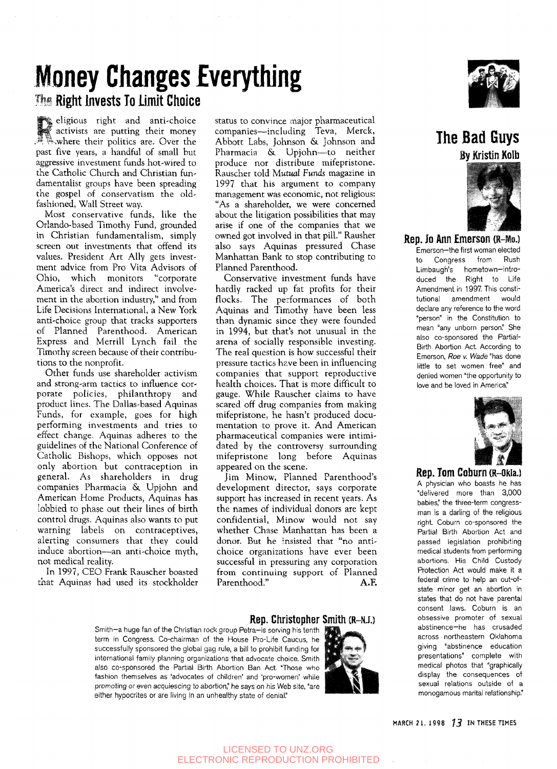# Money Changes Everything

## The Right Invests To Limit Choice

eligious right and anti-choice activists are putting their money **EXAMPLE THEIR AND ARRY COVER THE**<br> **EXAMPLE THEIR POLITICS ARE:** Over the past five years, a handful of small hut aggressive investment funds hot-wired to the Catholic Church and Christian fundamentalist groups have been spreading the gospel of conservatism the oldfashioned, Wall Street way.

Most conservative funds, like the Orlando-based Timothy Fund, grounded in Christian fundamentalism, simply screen out investments that offend its values. President Art Ally gets investment advice from Pro Vita Advisors of Ohio, which monitors "corporate America's direct and indirect involvement in the abortion industry," and from Life Decisions International, a New York anti-choice group that tracks supporters of Planned Parenthood. American Express and Merrill Lynch fail the Timothy screen because of their contributions to the nonprofit.

Other funds use shareholder activism and strong-arm tactics to influence corporate policies, philanthropy and product lines. The Dallas-based Aquinas Funds, for example, goes for high performing investments and tries to effect change. Aquinas adheres to the guidelines of the National Conference of Catholic Bishops, which opposes not only abortion but contraception in general. As shareholders in drug companies Pharmacia & Upjohn and American Home Products, Aquinas has lobbied to phase out their lines of birth control drugs. Aquinas also wants to put warning labels on contraceptives, alerting consumers that they could induce abortion—an anti-choice myth, not medical reality.

In 1997, CEO Frank Rauscher boasted that Aquinas had used its stockholder status to convince major pharmaceutical companies—including Teva, Merck, Abbott Labs, Johnson &. Johnson and Pharmacia & Upjohn—to neither produce nor distribute mifepristone. Rauscher told *Mutual Funds* magazine in 1997 that his argument to company management was economic, not religious: "As a shareholder, we were concerned about the litigation possibilities that may arise if one of the companies that we owned got involved in that pill." Rausher also says Aquinas pressured Chase Manhattan Bank to stop contributing to Planned Parenthood.

Conservative investment funds have hardly racked up fat profits for their flocks. The performances of both Aquinas and Timothy have been less than dynamic since they were founded in 1994, but that's not unusual in the arena of socially responsible investing. The real question is how successful their pressure tactics have been in influencing companies that support reproductive health choices. That is more difficult to gauge. While Rauscher claims to have scared off drug companies from making mifepristone, he hasn't produced documentation to prove it. And American pharmaceutical companies were intimidated by the controversy surrounding mifepristone long before Aquinas appeared on the scene.

Jim Minow, Planned Parenthood's development director, says corporate support has increased in recent years. As the names of individual donors are kept confidential, Minow would not say whether Chase Manhattan has been a donor. But he insisted that "no antichoice organizations have ever been successful in pressuring any corporation from continuing support of Planned Parenthood." A.F.

#### Rep. Christopher Smith (R-NJ.)

Smith-a huge fan of the Christian rock group Petra-is serving his tenth term in Congress. Co-chairman of the House Pro-Life Caucus, he successfully sponsored the global gag rule, a bill to prohibit funding for international family planning organizations that advocate choice. Smith also co-sponsored the Partial Birth Abortion Ban Act. 'Those who fashion themselves as 'advocates of children' and 'pro-women' while promoting or even acquiescing to abortion," he says on his Web site, "are either hypocrites or are living in an unhealthy state of denial."





## The Bad Guys **By Kristin Kolb**



Rep. Jo Ann Emerson (R-Mo.) Emerson—the first woman elected to Congress from Rush Limbaugh's hometown—introduced the Right to Life Amendment in 1997. This constitutional amendment would declare any reference to the word "person" in the Constitution to mean "any unborn person." She also co-sponsored the Partial-Birth Abortion Act. According to Emerson, Roe v. Wade "has done little to set women free" and denied women "the opportunity to love and be loved in America"



Rep. Tom Coburn (R-Okia.) A physician who boasts he has "delivered more than 3,000 babies," the three-term congressman is a darling of the religious right. Coburn co-sponsored the Partial Birth Abortion Act and passed legislation prohibiting medical students from performing abortions. His Child Custody Protection Act would make it a federal crime to help an out-ofstate minor get an abortion in states that do not have parental consent laws. Coburn is an obsessive promoter of sexual abstinence-he has crusaded across northeastern Oklahoma giving "abstinence education presentations" complete with medical photos that "graphically display the consequences of sexual relations outside of a monogamous marital relationship."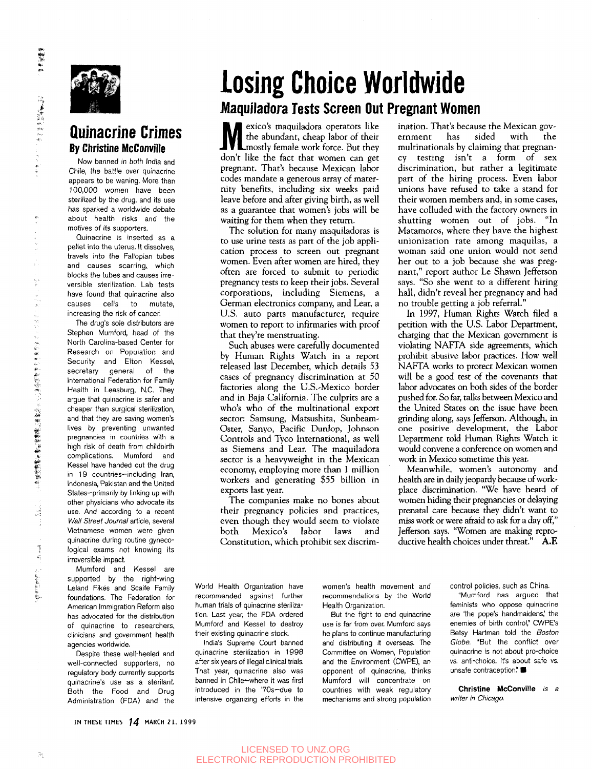

### Quinacrine Crimes By Christine McConville

Now banned in both India and Chile, the battle over quinacrine appears to be waning. More than 100,000 women have been sterilized by the drug, and its use has sparked a worldwide debate about health risks and the motives of its supporters.

Quinacrine is inserted as a pellet into the uterus. It dissolves, travels into the Fallopian tubes and causes scarring, which blocks the tubes and causes irreversible sterilization. Lab tests have found that quinacrine also causes cells to mutate, increasing the risk of cancer.

The drug's sole distributors are Stephen Mumford, head of the North Carolina-based Center for Research on Population and Security, and Elton Kessel, secretary general of the International Federation for Family Health in Leasburg, N.C. They argue that quinacrine is safer and cheaper than surgical sterilization, and that they are saving women's lives by preventing unwanted pregnancies in countries with a high risk of death from childbirth complications. Mumford and Kessel have handed out the drug in 19 countries—including Iran, Indonesia, Pakistan and the United States—primarily by linking up with other physicians who advocate its use. And according to a recent Wall Street Journal article, several Vietnamese women were given quinacrine during routine gynecological exams not knowing its irreversible impact.

Mumford and Kessel are supported by the right-wing Leland Fikes and Scaife Family foundations. The Federation for American Immigration Reform also has advocated for the distribution of quinacrine to researchers, clinicians and government health agencies worldwide.

Despite these well-heeled and well-connected supporters, no regulatory body currently supports quinacrine's use as a sterilant Both the Food and Drug Administration (FDA) and the

# losing Choice Worldwide

## Maquiladora Tests Screen Out Pregnant Women

Mexicos maquinadora operators like<br>the abundant, cheap labor of their<br>don't like the feat that we was also exico's maquiladora operators like the abundant, cheap labor of their don't like the fact that women can get pregnant. That's because Mexican labor codes mandate a generous array of maternity benefits, including six weeks paid leave before and after giving birth, as well as a guarantee that women's jobs will be waiting for them when they return.

The solution for many maquiladoras is to use urine tests as part of the job application process to screen out pregnant women. Even after women are hired, they often are forced to submit to periodic pregnancy tests to keep their jobs. Several corporations, including Siemens, a German electronics company, and Lear, a U.S. auto parts manufacturer, require women to report to infirmaries with proof that they're menstruating.

Such abuses were carefully documented by Human Rights Watch in a report released last December, which details 53 cases of pregnancy discrimination at 50 factories along the U.S.'Mexico border and in Baja California. The culprits are a who's who of the multinational export sector: Samsung, Matsushita, Sunbeam-Oster, Sanyo, Pacific Dunlop, Johnson Controls and Tyco International, as well as Siemens and Lear. The maquiladora sector is a heavyweight in the Mexican economy, employing more than 1 million workers and generating \$55 billion in exports last year.

The companies make no bones about their pregnancy policies and practices, even though they would seem to violate both Mexico's labor laws and Constitution, which prohibit sex discrim-

ination. That's because the Mexican gov-<br>ernment has sided with the ernment multinationals by claiming that pregnancy testing isn't a form of sex discrimination, but rather a legitimate part of the hiring process. Even labor unions have refused to take a stand for their women members and, in some cases, have colluded with the factory owners in shutting women out of jobs. "In Matamoros, where they have the highest unionization rate among maquilas, a woman said one union would not send her out to a job because she was pregnant," report author Le Shawn Jefferson says. "So she went to a different hiring hall, didn't reveal her pregnancy and had no trouble getting a job referral."

In 1997, Human Rights Watch filed a petition with the U.S. Labor Department, charging that the Mexican government is violating NAFTA side agreements, which prohibit abusive labor practices. How well NAFTA works to protect Mexican women will be a good test of the covenants that labor advocates on both sides of the border pushed for. So far, talks between Mexico and the United States on the issue have been grinding along, says Jefferson. Although, in one positive development, the Labor Department told Human Rights Watch it would convene a conference on women and work in Mexico sometime this year.

Meanwhile, women's autonomy and health are in daily jeopardy because of workplace discrimination. "We have heard of women hiding their pregnancies or delaying prenatal care because they didn't want to miss work or were afraid to ask for a day off," Jefferson says. "Women are making reproductive health choices under threat." **A.F.**

World Health Organization have recommended against further human trials of quinacrine sterilization. Last year, the FDA ordered Mumford and Kessel to destroy their existing quinacrine stock.

India's Supreme Court banned quinacrine sterilization in 1998 after six years of illegal clinical trials. That year, quinacrine also was banned in Chile—where it was first introduced in the 70s-due to intensive organizing efforts in the women's health movement and recommendations by the World Health Organization.

But the fight to end quinacrine use is far from over. Mumford says he plans to continue manufacturing and distributing it overseas. The Committee on Women, Population and the Environment (CWPE), an opponent of quinacrine, thinks Mumford will concentrate on countries with weak regulatory mechanisms and strong population control policies, such as China.

"Mumford has argued that feminists who oppose quinacrine are 'the pope's handmaidens' the enemies of birth control," CWPE's Betsy Hartman told the Boston Globe. "But the conflict over quinacrine is not about pro-choice vs. anti-choice. It's about safe vs.<br>unsafe contraception." ■

**Christine McConville is a** writer in Chicago.

"不是"的 

1998年12月12日に、1998年12月1日に、1998年12月1日、1998年12月1日、1998年12月1日、1998年12月1日、1999年12月1日、1999年12月1日、1999年12月1

**The Secret Contract of the Secret Contract of the Secret Contract of the Secret** 

IN THESE TIMES 14 MARCH 21. 1999